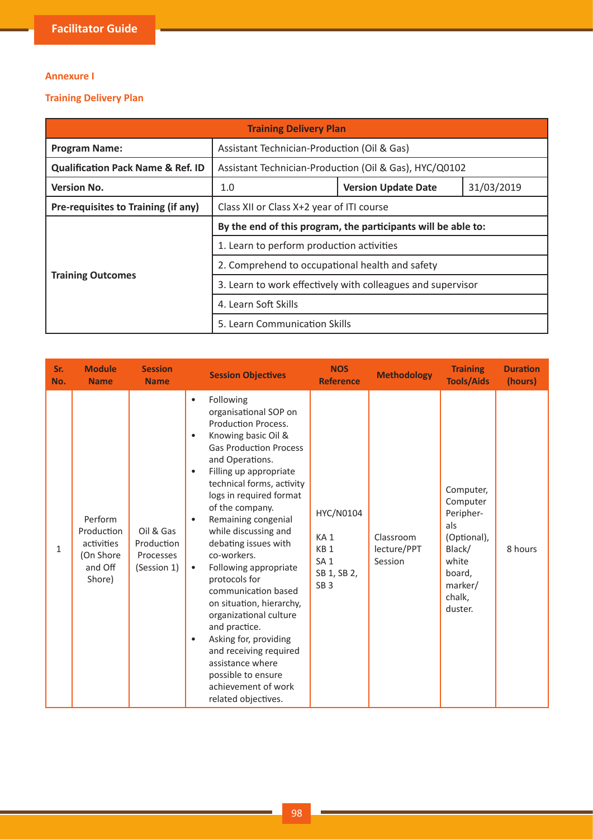## **Annexure I**

## **Training Delivery Plan**

| <b>Training Delivery Plan</b>                |                                                               |                                                             |            |  |  |  |
|----------------------------------------------|---------------------------------------------------------------|-------------------------------------------------------------|------------|--|--|--|
| <b>Program Name:</b>                         | Assistant Technician-Production (Oil & Gas)                   |                                                             |            |  |  |  |
| <b>Qualification Pack Name &amp; Ref. ID</b> |                                                               | Assistant Technician-Production (Oil & Gas), HYC/Q0102      |            |  |  |  |
| <b>Version No.</b>                           | 1.0                                                           | <b>Version Update Date</b>                                  | 31/03/2019 |  |  |  |
| Pre-requisites to Training (if any)          | Class XII or Class X+2 year of ITI course                     |                                                             |            |  |  |  |
|                                              | By the end of this program, the participants will be able to: |                                                             |            |  |  |  |
|                                              | 1. Learn to perform production activities                     |                                                             |            |  |  |  |
|                                              | 2. Comprehend to occupational health and safety               |                                                             |            |  |  |  |
| <b>Training Outcomes</b>                     |                                                               | 3. Learn to work effectively with colleagues and supervisor |            |  |  |  |
|                                              | 4. Learn Soft Skills                                          |                                                             |            |  |  |  |
|                                              | 5. Learn Communication Skills                                 |                                                             |            |  |  |  |

| Sr.<br>No.   | <b>Module</b><br><b>Name</b>                                          | <b>Session</b><br><b>Name</b>                       | <b>Session Objectives</b>                                                                                                                                                                                                                                                                                                                                                                                                                                                                                                                                                                                                                                                                | <b>NOS</b><br><b>Reference</b>                                                                       | <b>Methodology</b>                  | <b>Training</b><br><b>Tools/Aids</b>                                                                                  | <b>Duration</b><br>(hours) |
|--------------|-----------------------------------------------------------------------|-----------------------------------------------------|------------------------------------------------------------------------------------------------------------------------------------------------------------------------------------------------------------------------------------------------------------------------------------------------------------------------------------------------------------------------------------------------------------------------------------------------------------------------------------------------------------------------------------------------------------------------------------------------------------------------------------------------------------------------------------------|------------------------------------------------------------------------------------------------------|-------------------------------------|-----------------------------------------------------------------------------------------------------------------------|----------------------------|
| $\mathbf{1}$ | Perform<br>Production<br>activities<br>(On Shore<br>and Off<br>Shore) | Oil & Gas<br>Production<br>Processes<br>(Session 1) | Following<br>$\bullet$<br>organisational SOP on<br>Production Process.<br>Knowing basic Oil &<br>$\bullet$<br><b>Gas Production Process</b><br>and Operations.<br>Filling up appropriate<br>٠<br>technical forms, activity<br>logs in required format<br>of the company.<br>Remaining congenial<br>$\bullet$<br>while discussing and<br>debating issues with<br>co-workers.<br>Following appropriate<br>$\bullet$<br>protocols for<br>communication based<br>on situation, hierarchy,<br>organizational culture<br>and practice.<br>Asking for, providing<br>$\bullet$<br>and receiving required<br>assistance where<br>possible to ensure<br>achievement of work<br>related objectives. | HYC/N0104<br>KA <sub>1</sub><br>KB <sub>1</sub><br>SA <sub>1</sub><br>SB 1, SB 2,<br>SB <sub>3</sub> | Classroom<br>lecture/PPT<br>Session | Computer,<br>Computer<br>Peripher-<br>als<br>(Optional),<br>Black/<br>white<br>board,<br>marker/<br>chalk,<br>duster. | 8 hours                    |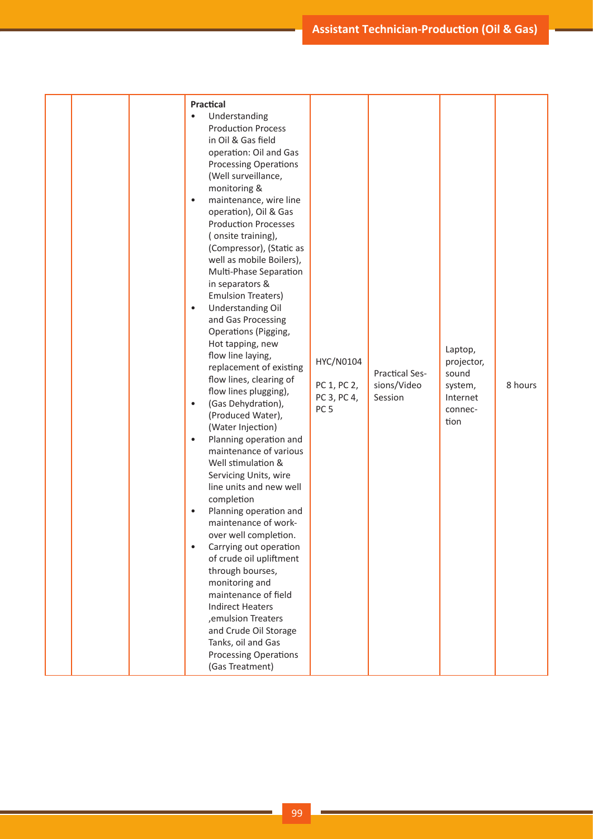| $\bullet$<br>$\bullet$<br>$\bullet$<br>$\bullet$<br>$\bullet$<br>$\bullet$ | Practical<br>Understanding<br><b>Production Process</b><br>in Oil & Gas field<br>operation: Oil and Gas<br><b>Processing Operations</b><br>(Well surveillance,<br>monitoring &<br>maintenance, wire line<br>operation), Oil & Gas<br><b>Production Processes</b><br>(onsite training),<br>(Compressor), (Static as<br>well as mobile Boilers),<br>Multi-Phase Separation<br>in separators &<br><b>Emulsion Treaters)</b><br>Understanding Oil<br>and Gas Processing<br>Operations (Pigging,<br>Hot tapping, new<br>flow line laying,<br>replacement of existing<br>flow lines, clearing of<br>flow lines plugging),<br>(Gas Dehydration),<br>(Produced Water),<br>(Water Injection)<br>Planning operation and<br>maintenance of various<br>Well stimulation &<br>Servicing Units, wire<br>line units and new well<br>completion<br>Planning operation and<br>maintenance of work-<br>over well completion.<br>Carrying out operation<br>of crude oil upliftment | HYC/N0104<br>PC 1, PC 2,<br>PC 3, PC 4,<br>PC <sub>5</sub> | <b>Practical Ses-</b><br>sions/Video<br>Session | Laptop,<br>projector,<br>sound<br>system,<br>Internet<br>connec-<br>tion | 8 hours |
|----------------------------------------------------------------------------|-----------------------------------------------------------------------------------------------------------------------------------------------------------------------------------------------------------------------------------------------------------------------------------------------------------------------------------------------------------------------------------------------------------------------------------------------------------------------------------------------------------------------------------------------------------------------------------------------------------------------------------------------------------------------------------------------------------------------------------------------------------------------------------------------------------------------------------------------------------------------------------------------------------------------------------------------------------------|------------------------------------------------------------|-------------------------------------------------|--------------------------------------------------------------------------|---------|
|                                                                            | through bourses,<br>monitoring and<br>maintenance of field<br><b>Indirect Heaters</b><br>, emulsion Treaters<br>and Crude Oil Storage<br>Tanks, oil and Gas<br><b>Processing Operations</b><br>(Gas Treatment)                                                                                                                                                                                                                                                                                                                                                                                                                                                                                                                                                                                                                                                                                                                                                  |                                                            |                                                 |                                                                          |         |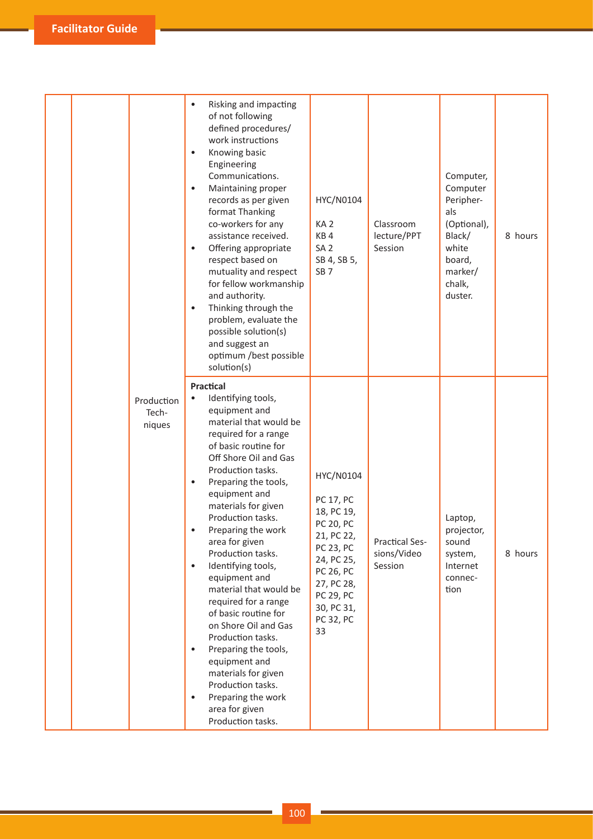|                               | Risking and impacting<br>$\bullet$<br>of not following<br>defined procedures/<br>work instructions<br>Knowing basic<br>$\bullet$<br>Engineering<br>Communications.<br>Maintaining proper<br>$\bullet$<br>records as per given<br>format Thanking<br>co-workers for any<br>assistance received.<br>Offering appropriate<br>$\bullet$<br>respect based on<br>mutuality and respect<br>for fellow workmanship<br>and authority.<br>Thinking through the<br>$\bullet$<br>problem, evaluate the<br>possible solution(s)<br>and suggest an<br>optimum /best possible<br>solution(s)                                                                                                                  | HYC/N0104<br>KA <sub>2</sub><br>KB4<br>SA <sub>2</sub><br>SB 4, SB 5,<br>SB <sub>7</sub>                                                                                          | Classroom<br>lecture/PPT<br>Session             | Computer,<br>Computer<br>Peripher-<br>als<br>(Optional),<br>Black/<br>white<br>board,<br>marker/<br>chalk,<br>duster. | 8 hours |
|-------------------------------|------------------------------------------------------------------------------------------------------------------------------------------------------------------------------------------------------------------------------------------------------------------------------------------------------------------------------------------------------------------------------------------------------------------------------------------------------------------------------------------------------------------------------------------------------------------------------------------------------------------------------------------------------------------------------------------------|-----------------------------------------------------------------------------------------------------------------------------------------------------------------------------------|-------------------------------------------------|-----------------------------------------------------------------------------------------------------------------------|---------|
| Production<br>Tech-<br>niques | Practical<br>Identifying tools,<br>$\bullet$<br>equipment and<br>material that would be<br>required for a range<br>of basic routine for<br>Off Shore Oil and Gas<br>Production tasks.<br>Preparing the tools,<br>$\bullet$<br>equipment and<br>materials for given<br>Production tasks.<br>Preparing the work<br>area for given<br>Production tasks.<br>Identifying tools,<br>$\bullet$<br>equipment and<br>material that would be<br>required for a range<br>of basic routine for<br>on Shore Oil and Gas<br>Production tasks.<br>Preparing the tools,<br>$\bullet$<br>equipment and<br>materials for given<br>Production tasks.<br>Preparing the work<br>area for given<br>Production tasks. | HYC/N0104<br>PC 17, PC<br>18, PC 19,<br><b>PC 20, PC</b><br>21, PC 22,<br>PC 23, PC<br>24, PC 25,<br>PC 26, PC<br>27, PC 28,<br><b>PC 29, PC</b><br>30, PC 31,<br>PC 32, PC<br>33 | <b>Practical Ses-</b><br>sions/Video<br>Session | Laptop,<br>projector,<br>sound<br>system,<br>Internet<br>connec-<br>tion                                              | 8 hours |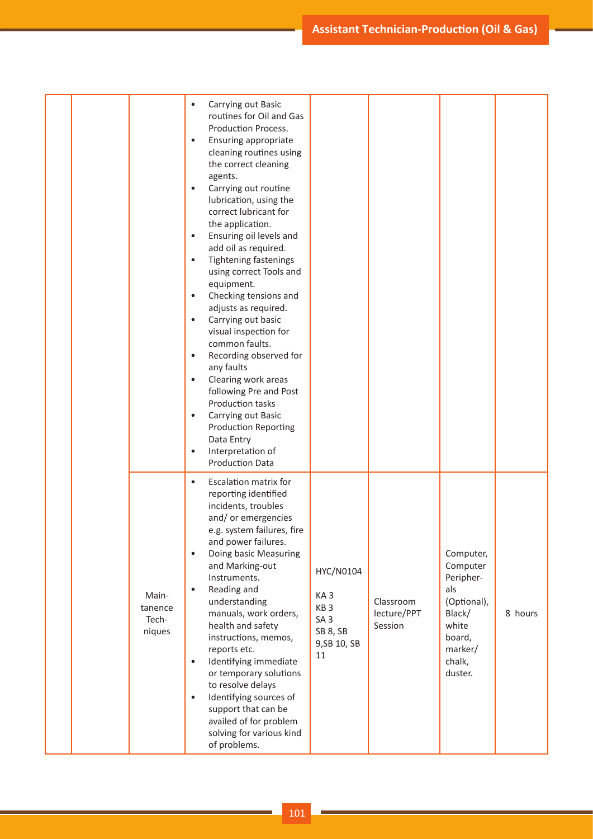**Assistant Technician-Production (Oil & Gas)** 

|  |                                     | Carrying out Basic<br>$\bullet$<br>routines for Oil and Gas<br>Production Process.<br>Ensuring appropriate<br>$\bullet$<br>cleaning routines using<br>the correct cleaning<br>agents.<br>Carrying out routine<br>lubrication, using the<br>correct lubricant for<br>the application.<br>Ensuring oil levels and<br>$\bullet$<br>add oil as required.<br>Tightening fastenings<br>$\bullet$<br>using correct Tools and<br>equipment.<br>Checking tensions and<br>$\bullet$<br>adjusts as required.<br>Carrying out basic<br>$\bullet$<br>visual inspection for<br>common faults.<br>Recording observed for<br>$\bullet$<br>any faults<br>Clearing work areas<br>$\bullet$<br>following Pre and Post |                                                                                                      |                                     |                                                                                              |         |
|--|-------------------------------------|----------------------------------------------------------------------------------------------------------------------------------------------------------------------------------------------------------------------------------------------------------------------------------------------------------------------------------------------------------------------------------------------------------------------------------------------------------------------------------------------------------------------------------------------------------------------------------------------------------------------------------------------------------------------------------------------------|------------------------------------------------------------------------------------------------------|-------------------------------------|----------------------------------------------------------------------------------------------|---------|
|  |                                     | Production tasks<br>Carrying out Basic<br>$\bullet$<br><b>Production Reporting</b><br>Data Entry<br>Interpretation of<br><b>Production Data</b><br>Escalation matrix for<br>$\bullet$<br>reporting identified<br>incidents, troubles<br>and/or emergencies<br>e.g. system failures, fire<br>and power failures.<br>Doing basic Measuring<br>$\bullet$<br>and Marking-out                                                                                                                                                                                                                                                                                                                           |                                                                                                      |                                     | Computer,<br>Computer                                                                        |         |
|  | Main-<br>tanence<br>Tech-<br>niques | Instruments.<br>Reading and<br>$\bullet$<br>understanding<br>manuals, work orders,<br>health and safety<br>instructions, memos,<br>reports etc.<br>Identifying immediate<br>$\bullet$<br>or temporary solutions<br>to resolve delays<br>Identifying sources of<br>$\bullet$<br>support that can be<br>availed of for problem<br>solving for various kind<br>of problems.                                                                                                                                                                                                                                                                                                                           | HYC/N0104<br>KA <sub>3</sub><br>KB <sub>3</sub><br>SA <sub>3</sub><br>SB 8, SB<br>9, SB 10, SB<br>11 | Classroom<br>lecture/PPT<br>Session | Peripher-<br>als<br>(Optional),<br>Black/<br>white<br>board,<br>marker/<br>chalk,<br>duster. | 8 hours |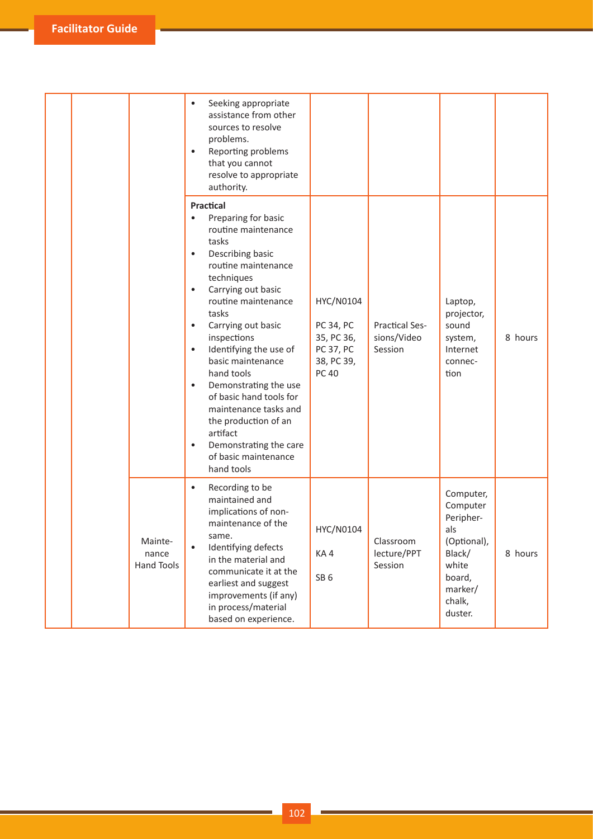|  |                                | Seeking appropriate<br>$\bullet$<br>assistance from other<br>sources to resolve<br>problems.<br>Reporting problems<br>$\bullet$<br>that you cannot<br>resolve to appropriate<br>authority.                                                                                                                                                                                                                                                                                                                                                       |                                                                                        |                                                 |                                                                                                                       |         |
|--|--------------------------------|--------------------------------------------------------------------------------------------------------------------------------------------------------------------------------------------------------------------------------------------------------------------------------------------------------------------------------------------------------------------------------------------------------------------------------------------------------------------------------------------------------------------------------------------------|----------------------------------------------------------------------------------------|-------------------------------------------------|-----------------------------------------------------------------------------------------------------------------------|---------|
|  |                                | Practical<br>Preparing for basic<br>routine maintenance<br>tasks<br>Describing basic<br>$\bullet$<br>routine maintenance<br>techniques<br>Carrying out basic<br>$\bullet$<br>routine maintenance<br>tasks<br>Carrying out basic<br>$\bullet$<br>inspections<br>Identifying the use of<br>$\bullet$<br>basic maintenance<br>hand tools<br>Demonstrating the use<br>$\bullet$<br>of basic hand tools for<br>maintenance tasks and<br>the production of an<br>artifact<br>Demonstrating the care<br>$\bullet$<br>of basic maintenance<br>hand tools | HYC/N0104<br>PC 34, PC<br>35, PC 36,<br><b>PC 37, PC</b><br>38, PC 39,<br><b>PC 40</b> | <b>Practical Ses-</b><br>sions/Video<br>Session | Laptop,<br>projector,<br>sound<br>system,<br>Internet<br>connec-<br>tion                                              | 8 hours |
|  | Mainte-<br>nance<br>Hand Tools | Recording to be<br>$\bullet$<br>maintained and<br>implications of non-<br>maintenance of the<br>same.<br>Identifying defects<br>$\bullet$<br>in the material and<br>communicate it at the<br>earliest and suggest<br>improvements (if any)<br>in process/material<br>based on experience.                                                                                                                                                                                                                                                        | HYC/N0104<br>KA4<br>SB <sub>6</sub>                                                    | Classroom<br>lecture/PPT<br>Session             | Computer,<br>Computer<br>Peripher-<br>als<br>(Optional),<br>Black/<br>white<br>board,<br>marker/<br>chalk,<br>duster. | 8 hours |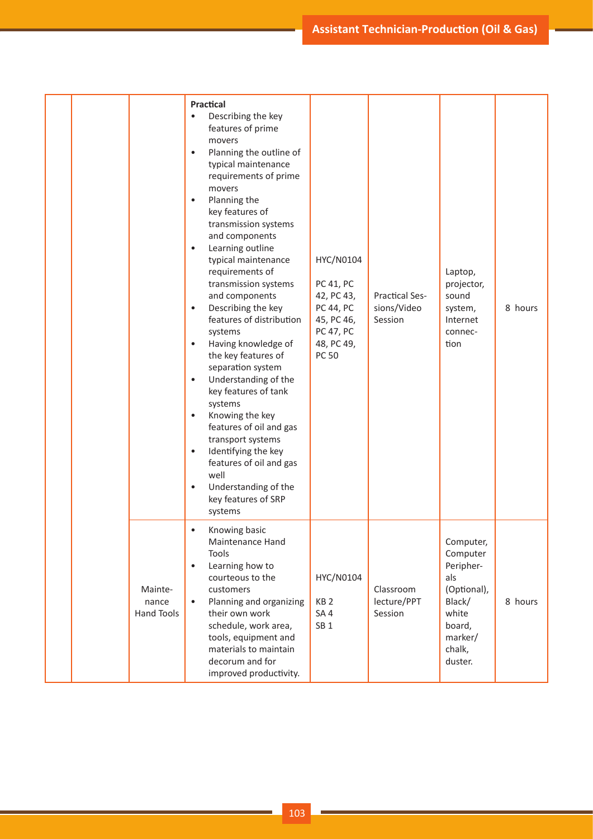|                                | Practical<br>Describing the key<br>features of prime<br>movers<br>Planning the outline of<br>$\bullet$<br>typical maintenance<br>requirements of prime<br>movers<br>Planning the<br>$\bullet$<br>key features of<br>transmission systems<br>and components<br>Learning outline<br>$\bullet$<br>typical maintenance<br>requirements of<br>transmission systems<br>and components<br>Describing the key<br>$\bullet$<br>features of distribution<br>systems<br>Having knowledge of<br>$\bullet$<br>the key features of<br>separation system<br>Understanding of the<br>$\bullet$<br>key features of tank<br>systems<br>Knowing the key<br>$\bullet$<br>features of oil and gas<br>transport systems<br>Identifying the key<br>$\bullet$<br>features of oil and gas<br>well<br>Understanding of the<br>$\bullet$<br>key features of SRP<br>systems | HYC/N0104<br><b>PC 41, PC</b><br>42, PC 43,<br>PC 44, PC<br>45, PC 46,<br>PC 47, PC<br>48, PC 49,<br><b>PC 50</b> | <b>Practical Ses-</b><br>sions/Video<br>Session | Laptop,<br>projector,<br>sound<br>system,<br>Internet<br>connec-<br>tion                                              | 8 hours |
|--------------------------------|-------------------------------------------------------------------------------------------------------------------------------------------------------------------------------------------------------------------------------------------------------------------------------------------------------------------------------------------------------------------------------------------------------------------------------------------------------------------------------------------------------------------------------------------------------------------------------------------------------------------------------------------------------------------------------------------------------------------------------------------------------------------------------------------------------------------------------------------------|-------------------------------------------------------------------------------------------------------------------|-------------------------------------------------|-----------------------------------------------------------------------------------------------------------------------|---------|
| Mainte-<br>nance<br>Hand Tools | Knowing basic<br>$\bullet$<br>Maintenance Hand<br>Tools<br>Learning how to<br>$\bullet$<br>courteous to the<br>customers<br>Planning and organizing<br>$\bullet$<br>their own work<br>schedule, work area,<br>tools, equipment and<br>materials to maintain<br>decorum and for<br>improved productivity.                                                                                                                                                                                                                                                                                                                                                                                                                                                                                                                                        | HYC/N0104<br>KB <sub>2</sub><br>SA4<br>SB <sub>1</sub>                                                            | Classroom<br>lecture/PPT<br>Session             | Computer,<br>Computer<br>Peripher-<br>als<br>(Optional),<br>Black/<br>white<br>board,<br>marker/<br>chalk,<br>duster. | 8 hours |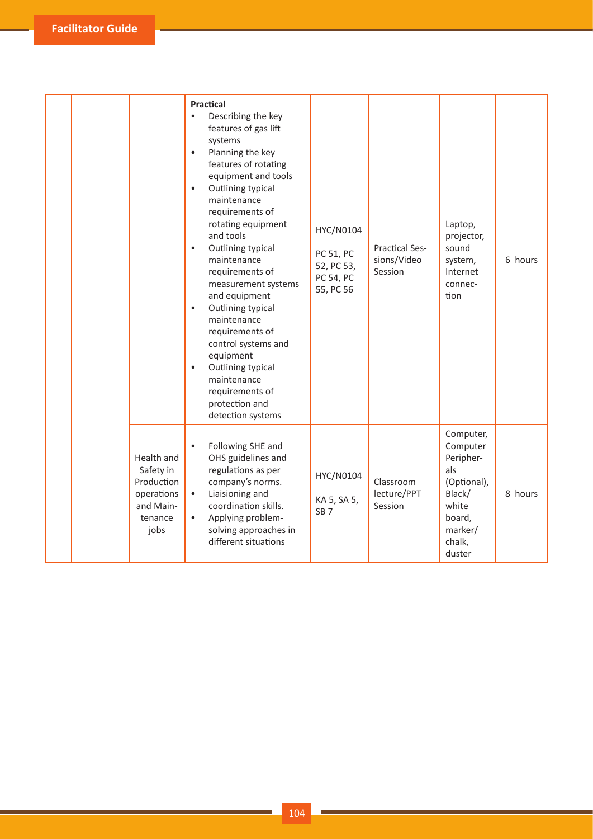|  |                                                                                     | Practical<br>$\bullet$<br>Describing the key<br>features of gas lift<br>systems<br>Planning the key<br>$\bullet$<br>features of rotating<br>equipment and tools<br>Outlining typical<br>$\bullet$<br>maintenance<br>requirements of<br>rotating equipment<br>and tools<br>Outlining typical<br>$\bullet$<br>maintenance<br>requirements of<br>measurement systems<br>and equipment<br>Outlining typical<br>$\bullet$<br>maintenance<br>requirements of<br>control systems and<br>equipment<br>Outlining typical<br>$\bullet$<br>maintenance<br>requirements of<br>protection and<br>detection systems | HYC/N0104<br>PC 51, PC<br>52, PC 53,<br>PC 54, PC<br>55, PC 56 | <b>Practical Ses-</b><br>sions/Video<br>Session | Laptop,<br>projector,<br>sound<br>system,<br>Internet<br>connec-<br>tion                                             | 6 hours |
|--|-------------------------------------------------------------------------------------|-------------------------------------------------------------------------------------------------------------------------------------------------------------------------------------------------------------------------------------------------------------------------------------------------------------------------------------------------------------------------------------------------------------------------------------------------------------------------------------------------------------------------------------------------------------------------------------------------------|----------------------------------------------------------------|-------------------------------------------------|----------------------------------------------------------------------------------------------------------------------|---------|
|  | Health and<br>Safety in<br>Production<br>operations<br>and Main-<br>tenance<br>jobs | Following SHE and<br>$\bullet$<br>OHS guidelines and<br>regulations as per<br>company's norms.<br>Liaisioning and<br>$\bullet$<br>coordination skills.<br>Applying problem-<br>$\bullet$<br>solving approaches in<br>different situations                                                                                                                                                                                                                                                                                                                                                             | HYC/N0104<br>KA 5, SA 5,<br>SB <sub>7</sub>                    | Classroom<br>lecture/PPT<br>Session             | Computer,<br>Computer<br>Peripher-<br>als<br>(Optional),<br>Black/<br>white<br>board,<br>marker/<br>chalk,<br>duster | 8 hours |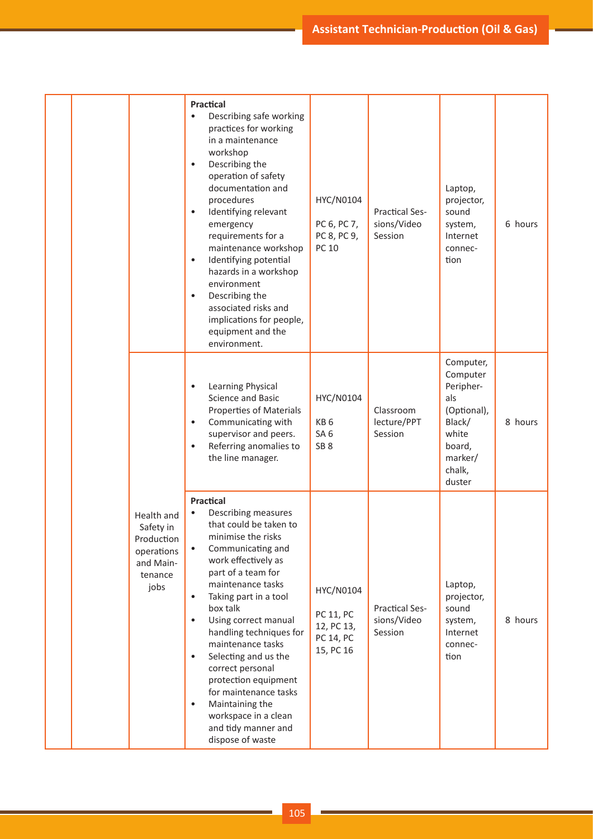|  |  |                                                                                     | <b>Practical</b><br>Describing safe working<br>practices for working<br>in a maintenance<br>workshop<br>Describing the<br>$\bullet$<br>operation of safety<br>documentation and<br>procedures<br>Identifying relevant<br>$\bullet$<br>emergency<br>requirements for a<br>maintenance workshop<br>Identifying potential<br>$\bullet$<br>hazards in a workshop<br>environment<br>Describing the<br>$\bullet$<br>associated risks and<br>implications for people,<br>equipment and the<br>environment.                                      | HYC/N0104<br>PC 6, PC 7,<br>PC 8, PC 9,<br>PC 10                   | <b>Practical Ses-</b><br>sions/Video<br>Session | Laptop,<br>projector,<br>sound<br>system,<br>Internet<br>connec-<br>tion                                             | 6 hours |
|--|--|-------------------------------------------------------------------------------------|------------------------------------------------------------------------------------------------------------------------------------------------------------------------------------------------------------------------------------------------------------------------------------------------------------------------------------------------------------------------------------------------------------------------------------------------------------------------------------------------------------------------------------------|--------------------------------------------------------------------|-------------------------------------------------|----------------------------------------------------------------------------------------------------------------------|---------|
|  |  |                                                                                     | Learning Physical<br>$\bullet$<br>Science and Basic<br>Properties of Materials<br>Communicating with<br>$\bullet$<br>supervisor and peers.<br>Referring anomalies to<br>$\bullet$<br>the line manager.                                                                                                                                                                                                                                                                                                                                   | HYC/N0104<br>KB <sub>6</sub><br>SA <sub>6</sub><br>SB <sub>8</sub> | Classroom<br>lecture/PPT<br>Session             | Computer,<br>Computer<br>Peripher-<br>als<br>(Optional),<br>Black/<br>white<br>board,<br>marker/<br>chalk,<br>duster | 8 hours |
|  |  | Health and<br>Safety in<br>Production<br>operations<br>and Main-<br>tenance<br>jobs | Practical<br>Describing measures<br>that could be taken to<br>minimise the risks<br>Communicating and<br>$\bullet$<br>work effectively as<br>part of a team for<br>maintenance tasks<br>Taking part in a tool<br>$\bullet$<br>box talk<br>Using correct manual<br>$\bullet$<br>handling techniques for<br>maintenance tasks<br>Selecting and us the<br>$\bullet$<br>correct personal<br>protection equipment<br>for maintenance tasks<br>Maintaining the<br>$\bullet$<br>workspace in a clean<br>and tidy manner and<br>dispose of waste | HYC/N0104<br>PC 11, PC<br>12, PC 13,<br>PC 14, PC<br>15, PC 16     | <b>Practical Ses-</b><br>sions/Video<br>Session | Laptop,<br>projector,<br>sound<br>system,<br>Internet<br>connec-<br>tion                                             | 8 hours |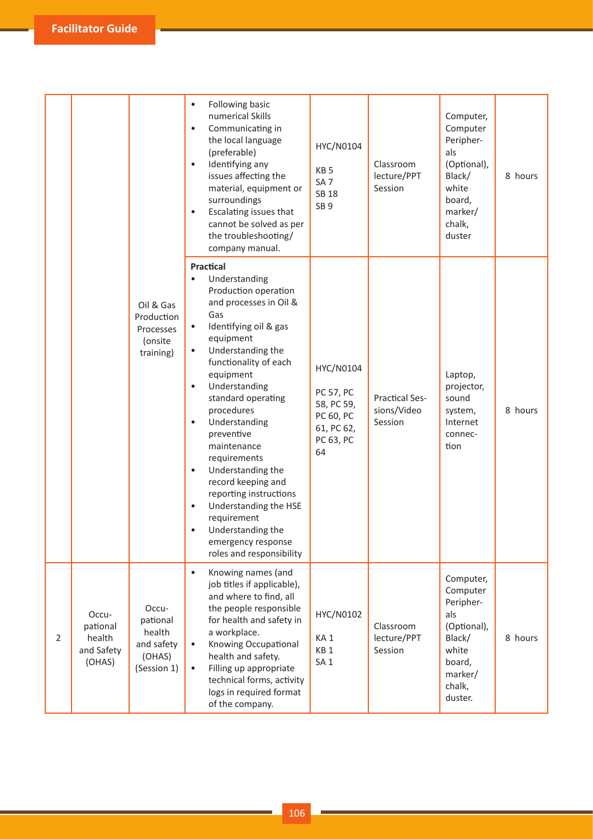|   |                                                     |                                                                    | Following basic<br>$\bullet$<br>numerical Skills<br>Communicating in<br>$\bullet$<br>the local language<br>(preferable)<br>Identifying any<br>$\bullet$<br>issues affecting the<br>material, equipment or<br>surroundings<br>Escalating issues that<br>$\bullet$<br>cannot be solved as per<br>the troubleshooting/<br>company manual.                                                                                                                                                                                                                                                      | HYC/N0104<br>KB <sub>5</sub><br>SA <sub>7</sub><br><b>SB 18</b><br>SB <sub>9</sub>        | Classroom<br>lecture/PPT<br>Session             | Computer,<br>Computer<br>Peripher-<br>als<br>(Optional),<br>Black/<br>white<br>board,<br>marker/<br>chalk,<br>duster  | 8 hours |
|---|-----------------------------------------------------|--------------------------------------------------------------------|---------------------------------------------------------------------------------------------------------------------------------------------------------------------------------------------------------------------------------------------------------------------------------------------------------------------------------------------------------------------------------------------------------------------------------------------------------------------------------------------------------------------------------------------------------------------------------------------|-------------------------------------------------------------------------------------------|-------------------------------------------------|-----------------------------------------------------------------------------------------------------------------------|---------|
|   |                                                     | Oil & Gas<br>Production<br>Processes<br>(onsite<br>training)       | Practical<br>Understanding<br>$\bullet$<br>Production operation<br>and processes in Oil &<br>Gas<br>Identifying oil & gas<br>$\bullet$<br>equipment<br>Understanding the<br>$\bullet$<br>functionality of each<br>equipment<br>Understanding<br>$\bullet$<br>standard operating<br>procedures<br>Understanding<br>$\bullet$<br>preventive<br>maintenance<br>requirements<br>Understanding the<br>$\bullet$<br>record keeping and<br>reporting instructions<br>Understanding the HSE<br>$\bullet$<br>requirement<br>Understanding the<br>٠<br>emergency response<br>roles and responsibility | HYC/N0104<br><b>PC 57, PC</b><br>58, PC 59,<br>PC 60, PC<br>61, PC 62,<br>PC 63, PC<br>64 | <b>Practical Ses-</b><br>sions/Video<br>Session | Laptop,<br>projector,<br>sound<br>system,<br>Internet<br>connec-<br>tion                                              | 8 hours |
| 2 | Occu-<br>pational<br>health<br>and Safety<br>(OHAS) | Occu-<br>pational<br>health<br>and safety<br>(OHAS)<br>(Session 1) | Knowing names (and<br>$\bullet$<br>job titles if applicable),<br>and where to find, all<br>the people responsible<br>for health and safety in<br>a workplace.<br>Knowing Occupational<br>$\bullet$<br>health and safety.<br>Filling up appropriate<br>$\bullet$<br>technical forms, activity<br>logs in required format<br>of the company.                                                                                                                                                                                                                                                  | HYC/N0102<br>KA <sub>1</sub><br>KB <sub>1</sub><br>SA <sub>1</sub>                        | Classroom<br>lecture/PPT<br>Session             | Computer,<br>Computer<br>Peripher-<br>als<br>(Optional),<br>Black/<br>white<br>board,<br>marker/<br>chalk,<br>duster. | 8 hours |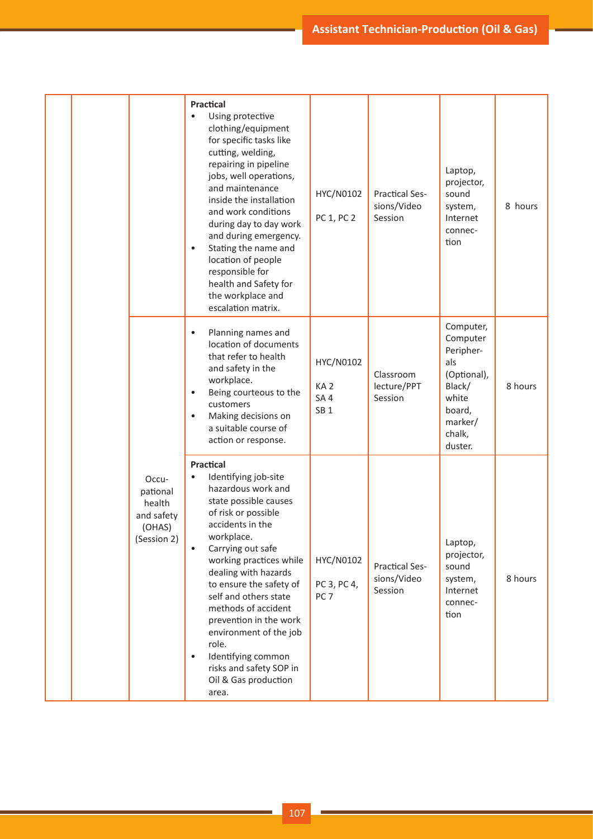|  |  |                                                                    | <b>Practical</b><br>Using protective<br>$\bullet$<br>clothing/equipment<br>for specific tasks like<br>cutting, welding,<br>repairing in pipeline<br>jobs, well operations,<br>and maintenance<br>inside the installation<br>and work conditions<br>during day to day work<br>and during emergency.<br>Stating the name and<br>$\bullet$<br>location of people<br>responsible for<br>health and Safety for<br>the workplace and<br>escalation matrix.     | HYC/N0102<br>PC 1, PC 2                                            | <b>Practical Ses-</b><br>sions/Video<br>Session | Laptop,<br>projector,<br>sound<br>system,<br>Internet<br>connec-<br>tion                                              | 8 hours |
|--|--|--------------------------------------------------------------------|----------------------------------------------------------------------------------------------------------------------------------------------------------------------------------------------------------------------------------------------------------------------------------------------------------------------------------------------------------------------------------------------------------------------------------------------------------|--------------------------------------------------------------------|-------------------------------------------------|-----------------------------------------------------------------------------------------------------------------------|---------|
|  |  |                                                                    | Planning names and<br>$\bullet$<br>location of documents<br>that refer to health<br>and safety in the<br>workplace.<br>Being courteous to the<br>customers<br>Making decisions on<br>$\bullet$<br>a suitable course of<br>action or response.                                                                                                                                                                                                            | HYC/N0102<br>KA <sub>2</sub><br>SA <sub>4</sub><br>SB <sub>1</sub> | Classroom<br>lecture/PPT<br>Session             | Computer,<br>Computer<br>Peripher-<br>als<br>(Optional),<br>Black/<br>white<br>board,<br>marker/<br>chalk,<br>duster. | 8 hours |
|  |  | Occu-<br>pational<br>health<br>and safety<br>(OHAS)<br>(Session 2) | Practical<br>Identifying job-site<br>hazardous work and<br>state possible causes<br>of risk or possible<br>accidents in the<br>workplace.<br>Carrying out safe<br>working practices while<br>dealing with hazards<br>to ensure the safety of<br>self and others state<br>methods of accident<br>prevention in the work<br>environment of the job<br>role.<br>Identifying common<br>$\bullet$<br>risks and safety SOP in<br>Oil & Gas production<br>area. | HYC/N0102<br>PC 3, PC 4,<br>PC <sub>7</sub>                        | <b>Practical Ses-</b><br>sions/Video<br>Session | Laptop,<br>projector,<br>sound<br>system,<br>Internet<br>connec-<br>tion                                              | 8 hours |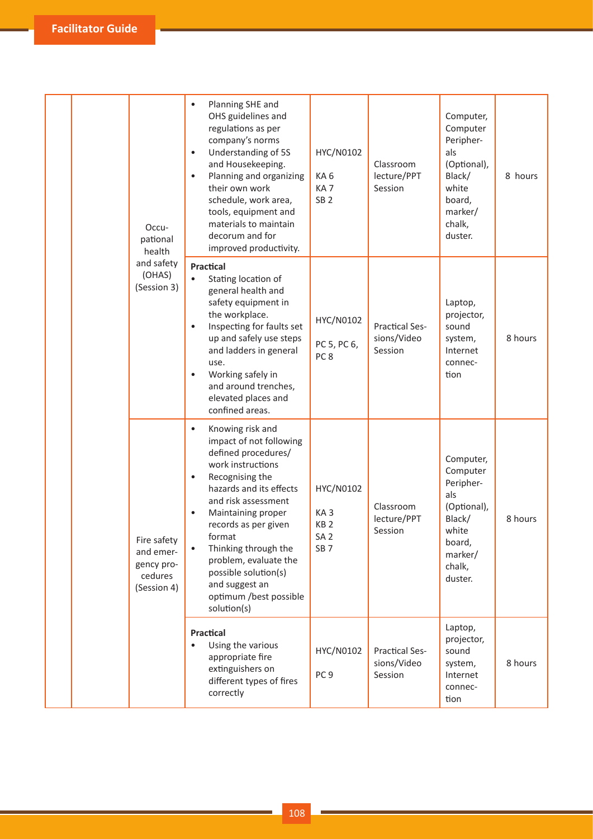| Occu-<br>pational<br>health                                      | Planning SHE and<br>OHS guidelines and<br>regulations as per<br>company's norms<br>Understanding of 5S<br>$\bullet$<br>and Housekeeping.<br>Planning and organizing<br>$\bullet$<br>their own work<br>schedule, work area,<br>tools, equipment and<br>materials to maintain<br>decorum and for<br>improved productivity.                                                                                     | HYC/N0102<br>KA6<br>KA <sub>7</sub><br>SB <sub>2</sub>                                | Classroom<br>lecture/PPT<br>Session             | Computer,<br>Computer<br>Peripher-<br>als<br>(Optional),<br>Black/<br>white<br>board,<br>marker/<br>chalk,<br>duster. | 8 hours |
|------------------------------------------------------------------|--------------------------------------------------------------------------------------------------------------------------------------------------------------------------------------------------------------------------------------------------------------------------------------------------------------------------------------------------------------------------------------------------------------|---------------------------------------------------------------------------------------|-------------------------------------------------|-----------------------------------------------------------------------------------------------------------------------|---------|
| and safety<br>(OHAS)<br>(Session 3)                              | <b>Practical</b><br>Stating location of<br>$\bullet$<br>general health and<br>safety equipment in<br>the workplace.<br>Inspecting for faults set<br>$\bullet$<br>up and safely use steps<br>and ladders in general<br>use.<br>Working safely in<br>$\bullet$<br>and around trenches,<br>elevated places and<br>confined areas.                                                                               | HYC/N0102<br>PC 5, PC 6,<br>PC <sub>8</sub>                                           | <b>Practical Ses-</b><br>sions/Video<br>Session | Laptop,<br>projector,<br>sound<br>system,<br>Internet<br>connec-<br>tion                                              | 8 hours |
| Fire safety<br>and emer-<br>gency pro-<br>cedures<br>(Session 4) | Knowing risk and<br>$\bullet$<br>impact of not following<br>defined procedures/<br>work instructions<br>Recognising the<br>$\bullet$<br>hazards and its effects<br>and risk assessment<br>Maintaining proper<br>$\bullet$<br>records as per given<br>format<br>Thinking through the<br>$\bullet$<br>problem, evaluate the<br>possible solution(s)<br>and suggest an<br>optimum /best possible<br>solution(s) | HYC/N0102<br>KA <sub>3</sub><br>KB <sub>2</sub><br>SA <sub>2</sub><br>SB <sub>7</sub> | Classroom<br>lecture/PPT<br>Session             | Computer,<br>Computer<br>Peripher-<br>als<br>(Optional),<br>Black/<br>white<br>board,<br>marker/<br>chalk,<br>duster. | 8 hours |
|                                                                  | <b>Practical</b><br>Using the various<br>$\bullet$<br>appropriate fire<br>extinguishers on<br>different types of fires<br>correctly                                                                                                                                                                                                                                                                          | HYC/N0102<br>PC <sub>9</sub>                                                          | <b>Practical Ses-</b><br>sions/Video<br>Session | Laptop,<br>projector,<br>sound<br>system,<br>Internet<br>connec-<br>tion                                              | 8 hours |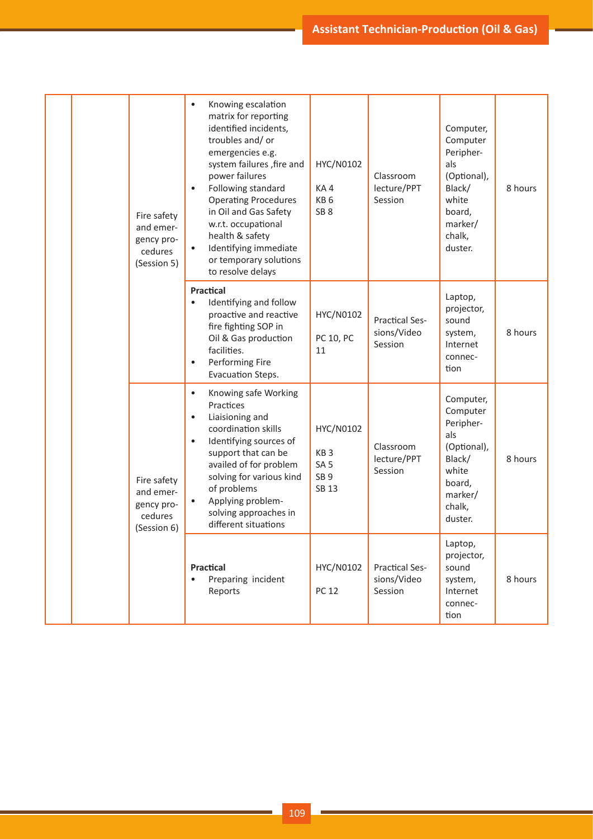|  | Fire safety<br>and emer-<br>gency pro-<br>cedures<br>(Session 5) | Knowing escalation<br>$\bullet$<br>matrix for reporting<br>identified incidents,<br>troubles and/or<br>emergencies e.g.<br>system failures , fire and<br>power failures<br>Following standard<br>$\bullet$<br><b>Operating Procedures</b><br>in Oil and Gas Safety<br>w.r.t. occupational<br>health & safety<br>Identifying immediate<br>or temporary solutions<br>to resolve delays | HYC/N0102<br>KA4<br>KB <sub>6</sub><br>SB <sub>8</sub>                      | Classroom<br>lecture/PPT<br>Session             | Computer,<br>Computer<br>Peripher-<br>als<br>(Optional),<br>Black/<br>white<br>board,<br>marker/<br>chalk,<br>duster. | 8 hours |
|--|------------------------------------------------------------------|--------------------------------------------------------------------------------------------------------------------------------------------------------------------------------------------------------------------------------------------------------------------------------------------------------------------------------------------------------------------------------------|-----------------------------------------------------------------------------|-------------------------------------------------|-----------------------------------------------------------------------------------------------------------------------|---------|
|  |                                                                  | <b>Practical</b><br>Identifying and follow<br>$\bullet$<br>proactive and reactive<br>fire fighting SOP in<br>Oil & Gas production<br>facilities.<br>Performing Fire<br>$\bullet$<br>Evacuation Steps.                                                                                                                                                                                | HYC/N0102<br>PC 10, PC<br>11                                                | <b>Practical Ses-</b><br>sions/Video<br>Session | Laptop,<br>projector,<br>sound<br>system,<br>Internet<br>connec-<br>tion                                              | 8 hours |
|  | Fire safety<br>and emer-<br>gency pro-<br>cedures<br>(Session 6) | Knowing safe Working<br>$\bullet$<br>Practices<br>Liaisioning and<br>$\bullet$<br>coordination skills<br>Identifying sources of<br>$\bullet$<br>support that can be<br>availed of for problem<br>solving for various kind<br>of problems<br>Applying problem-<br>solving approaches in<br>different situations                                                                       | HYC/N0102<br>KB <sub>3</sub><br>SA <sub>5</sub><br>SB <sub>9</sub><br>SB 13 | Classroom<br>lecture/PPT<br>Session             | Computer,<br>Computer<br>Peripher-<br>als<br>(Optional),<br>Black/<br>white<br>board,<br>marker/<br>chalk,<br>duster. | 8 hours |
|  |                                                                  | <b>Practical</b><br>Preparing incident<br>Reports                                                                                                                                                                                                                                                                                                                                    | HYC/N0102<br><b>PC 12</b>                                                   | <b>Practical Ses-</b><br>sions/Video<br>Session | Laptop,<br>projector,<br>sound<br>system,<br>Internet<br>connec-<br>tion                                              | 8 hours |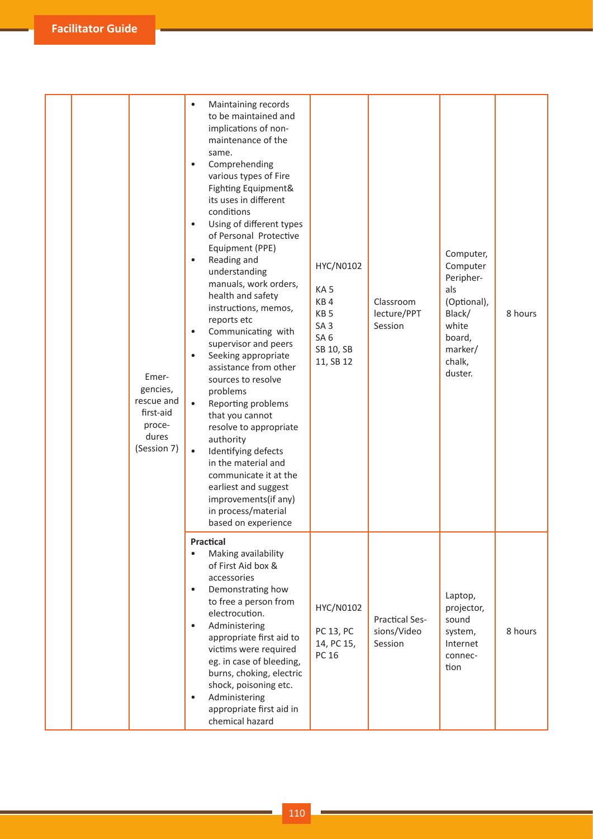| Emer-<br>gencies,<br>rescue and<br>first-aid<br>proce-<br>dures<br>(Session 7) | Maintaining records<br>٠<br>to be maintained and<br>implications of non-<br>maintenance of the<br>same.<br>Comprehending<br>$\bullet$<br>various types of Fire<br>Fighting Equipment&<br>its uses in different<br>conditions<br>Using of different types<br>$\bullet$<br>of Personal Protective<br>Equipment (PPE)<br>Reading and<br>$\bullet$<br>understanding<br>manuals, work orders,<br>health and safety<br>instructions, memos,<br>reports etc<br>Communicating with<br>$\bullet$<br>supervisor and peers<br>Seeking appropriate<br>$\bullet$<br>assistance from other<br>sources to resolve<br>problems<br>Reporting problems<br>$\bullet$<br>that you cannot<br>resolve to appropriate<br>authority<br>Identifying defects<br>$\bullet$<br>in the material and<br>communicate it at the<br>earliest and suggest<br>improvements(if any)<br>in process/material | HYC/N0102<br>KA <sub>5</sub><br>KB4<br>KB <sub>5</sub><br>SA <sub>3</sub><br>SA <sub>6</sub><br>SB 10, SB<br>11, SB 12 | Classroom<br>lecture/PPT<br>Session             | Computer,<br>Computer<br>Peripher-<br>als<br>(Optional),<br>Black/<br>white<br>board,<br>marker/<br>chalk,<br>duster. | 8 hours |
|--------------------------------------------------------------------------------|------------------------------------------------------------------------------------------------------------------------------------------------------------------------------------------------------------------------------------------------------------------------------------------------------------------------------------------------------------------------------------------------------------------------------------------------------------------------------------------------------------------------------------------------------------------------------------------------------------------------------------------------------------------------------------------------------------------------------------------------------------------------------------------------------------------------------------------------------------------------|------------------------------------------------------------------------------------------------------------------------|-------------------------------------------------|-----------------------------------------------------------------------------------------------------------------------|---------|
|                                                                                | based on experience<br>Practical<br>Making availability<br>$\bullet$<br>of First Aid box &<br>accessories<br>Demonstrating how<br>$\bullet$<br>to free a person from<br>electrocution.<br>Administering<br>$\bullet$<br>appropriate first aid to<br>victims were required<br>eg. in case of bleeding,<br>burns, choking, electric<br>shock, poisoning etc.<br>Administering<br>$\bullet$<br>appropriate first aid in<br>chemical hazard                                                                                                                                                                                                                                                                                                                                                                                                                                | HYC/N0102<br>PC 13, PC<br>14, PC 15,<br>PC 16                                                                          | <b>Practical Ses-</b><br>sions/Video<br>Session | Laptop,<br>projector,<br>sound<br>system,<br>Internet<br>connec-<br>tion                                              | 8 hours |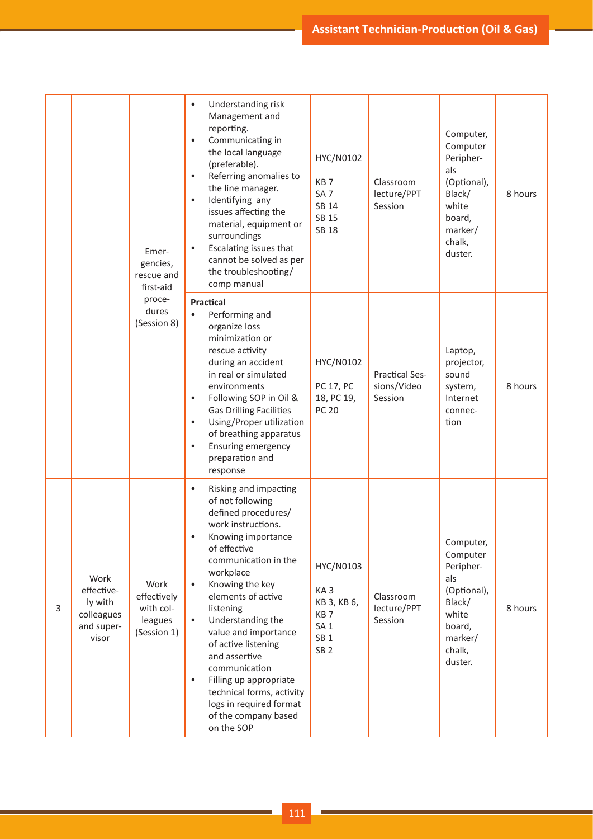|   |                                                                    | Emer-<br>gencies,<br>rescue and<br>first-aid<br>proce-<br>dures<br>(Session 8) | Understanding risk<br>$\bullet$<br>Management and<br>reporting.<br>Communicating in<br>the local language<br>(preferable).<br>Referring anomalies to<br>the line manager.<br>Identifying any<br>$\bullet$<br>issues affecting the<br>material, equipment or<br>surroundings<br>Escalating issues that<br>cannot be solved as per<br>the troubleshooting/<br>comp manual                                                                                                                                   | HYC/N0102<br>KB <sub>7</sub><br>SA <sub>7</sub><br>SB 14<br>SB 15<br><b>SB 18</b>                                       | Classroom<br>lecture/PPT<br>Session             | Computer,<br>Computer<br>Peripher-<br>als<br>(Optional),<br>Black/<br>white<br>board,<br>marker/<br>chalk,<br>duster. | 8 hours |
|---|--------------------------------------------------------------------|--------------------------------------------------------------------------------|-----------------------------------------------------------------------------------------------------------------------------------------------------------------------------------------------------------------------------------------------------------------------------------------------------------------------------------------------------------------------------------------------------------------------------------------------------------------------------------------------------------|-------------------------------------------------------------------------------------------------------------------------|-------------------------------------------------|-----------------------------------------------------------------------------------------------------------------------|---------|
|   |                                                                    |                                                                                | Practical<br>Performing and<br>$\bullet$<br>organize loss<br>minimization or<br>rescue activity<br>during an accident<br>in real or simulated<br>environments<br>Following SOP in Oil &<br>$\bullet$<br><b>Gas Drilling Facilities</b><br>Using/Proper utilization<br>$\bullet$<br>of breathing apparatus<br><b>Ensuring emergency</b><br>$\bullet$<br>preparation and<br>response                                                                                                                        | HYC/N0102<br>PC 17, PC<br>18, PC 19,<br><b>PC 20</b>                                                                    | <b>Practical Ses-</b><br>sions/Video<br>Session | Laptop,<br>projector,<br>sound<br>system,<br>Internet<br>connec-<br>tion                                              | 8 hours |
| 3 | Work<br>effective-<br>ly with<br>colleagues<br>and super-<br>visor | Work<br>effectively<br>with col-<br>leagues<br>(Session 1)                     | Risking and impacting<br>$\bullet$<br>of not following<br>defined procedures/<br>work instructions.<br>Knowing importance<br>of effective<br>communication in the<br>workplace<br>Knowing the key<br>$\bullet$<br>elements of active<br>listening<br>Understanding the<br>$\bullet$<br>value and importance<br>of active listening<br>and assertive<br>communication<br>Filling up appropriate<br>$\bullet$<br>technical forms, activity<br>logs in required format<br>of the company based<br>on the SOP | HYC/N0103<br>KA <sub>3</sub><br>KB 3, KB 6,<br>KB <sub>7</sub><br>SA <sub>1</sub><br>SB <sub>1</sub><br>SB <sub>2</sub> | Classroom<br>lecture/PPT<br>Session             | Computer,<br>Computer<br>Peripher-<br>als<br>(Optional),<br>Black/<br>white<br>board,<br>marker/<br>chalk,<br>duster. | 8 hours |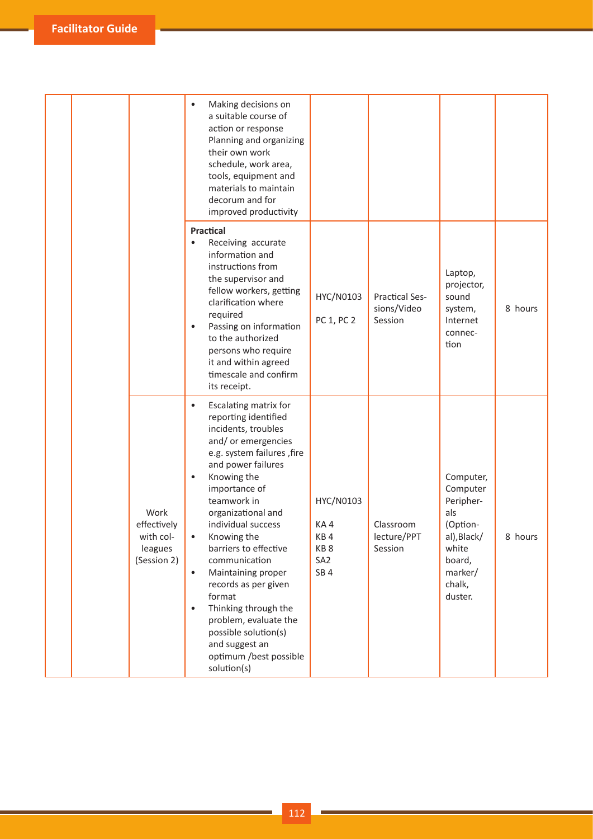|  |                                                            | Making decisions on<br>$\bullet$<br>a suitable course of<br>action or response<br>Planning and organizing<br>their own work<br>schedule, work area,<br>tools, equipment and<br>materials to maintain<br>decorum and for<br>improved productivity                                                                                                                                                                                                                                                                                                                  |                                                                                  |                                                 |                                                                                                                         |         |
|--|------------------------------------------------------------|-------------------------------------------------------------------------------------------------------------------------------------------------------------------------------------------------------------------------------------------------------------------------------------------------------------------------------------------------------------------------------------------------------------------------------------------------------------------------------------------------------------------------------------------------------------------|----------------------------------------------------------------------------------|-------------------------------------------------|-------------------------------------------------------------------------------------------------------------------------|---------|
|  |                                                            | <b>Practical</b><br>Receiving accurate<br>$\bullet$<br>information and<br>instructions from<br>the supervisor and<br>fellow workers, getting<br>clarification where<br>required<br>Passing on information<br>$\bullet$<br>to the authorized<br>persons who require<br>it and within agreed<br>timescale and confirm<br>its receipt.                                                                                                                                                                                                                               | HYC/N0103<br>PC 1, PC 2                                                          | <b>Practical Ses-</b><br>sions/Video<br>Session | Laptop,<br>projector,<br>sound<br>system,<br>Internet<br>connec-<br>tion                                                | 8 hours |
|  | Work<br>effectively<br>with col-<br>leagues<br>(Session 2) | Escalating matrix for<br>$\bullet$<br>reporting identified<br>incidents, troubles<br>and/ or emergencies<br>e.g. system failures , fire<br>and power failures<br>Knowing the<br>$\bullet$<br>importance of<br>teamwork in<br>organizational and<br>individual success<br>Knowing the<br>$\bullet$<br>barriers to effective<br>communication<br>Maintaining proper<br>$\bullet$<br>records as per given<br>format<br>Thinking through the<br>$\bullet$<br>problem, evaluate the<br>possible solution(s)<br>and suggest an<br>optimum /best possible<br>solution(s) | HYC/N0103<br>KA4<br>KB4<br>KB <sub>8</sub><br>SA <sub>2</sub><br>SB <sub>4</sub> | Classroom<br>lecture/PPT<br>Session             | Computer,<br>Computer<br>Peripher-<br>als<br>(Option-<br>al), Black/<br>white<br>board,<br>marker/<br>chalk,<br>duster. | 8 hours |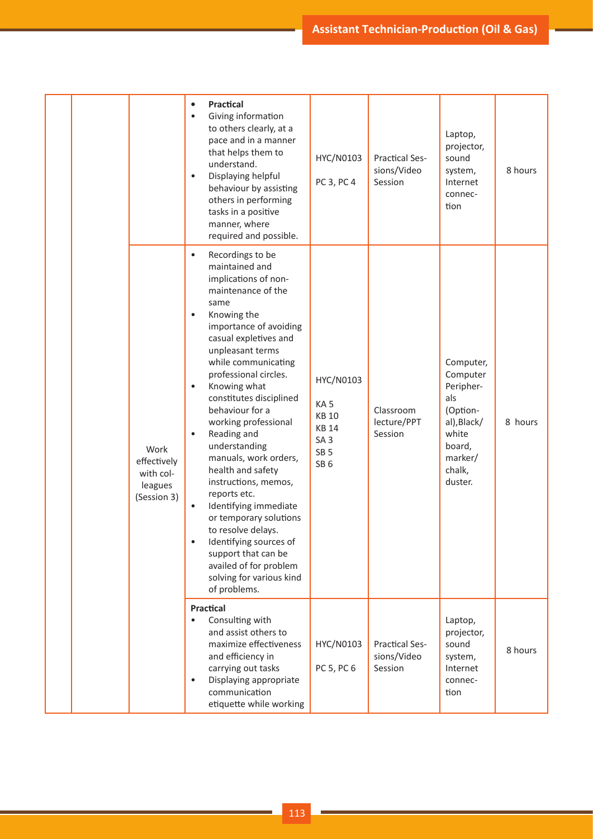|  |                                                            | <b>Practical</b><br>$\bullet$<br>Giving information<br>$\bullet$<br>to others clearly, at a<br>pace and in a manner<br>that helps them to<br>understand.<br>Displaying helpful<br>$\bullet$<br>behaviour by assisting<br>others in performing<br>tasks in a positive<br>manner, where<br>required and possible.                                                                                                                                                                                                                                                                                                                                                                                     | HYC/N0103<br>PC 3, PC 4                                                                                               | <b>Practical Ses-</b><br>sions/Video<br>Session | Laptop,<br>projector,<br>sound<br>system,<br>Internet<br>connec-<br>tion                                                | 8 hours |
|--|------------------------------------------------------------|-----------------------------------------------------------------------------------------------------------------------------------------------------------------------------------------------------------------------------------------------------------------------------------------------------------------------------------------------------------------------------------------------------------------------------------------------------------------------------------------------------------------------------------------------------------------------------------------------------------------------------------------------------------------------------------------------------|-----------------------------------------------------------------------------------------------------------------------|-------------------------------------------------|-------------------------------------------------------------------------------------------------------------------------|---------|
|  | Work<br>effectively<br>with col-<br>leagues<br>(Session 3) | Recordings to be<br>$\bullet$<br>maintained and<br>implications of non-<br>maintenance of the<br>same<br>Knowing the<br>٠<br>importance of avoiding<br>casual expletives and<br>unpleasant terms<br>while communicating<br>professional circles.<br>Knowing what<br>$\bullet$<br>constitutes disciplined<br>behaviour for a<br>working professional<br>Reading and<br>$\bullet$<br>understanding<br>manuals, work orders,<br>health and safety<br>instructions, memos,<br>reports etc.<br>Identifying immediate<br>$\bullet$<br>or temporary solutions<br>to resolve delays.<br>Identifying sources of<br>support that can be<br>availed of for problem<br>solving for various kind<br>of problems. | HYC/N0103<br>KA <sub>5</sub><br><b>KB 10</b><br><b>KB 14</b><br>SA <sub>3</sub><br>SB <sub>5</sub><br>SB <sub>6</sub> | Classroom<br>lecture/PPT<br>Session             | Computer,<br>Computer<br>Peripher-<br>als<br>(Option-<br>al), Black/<br>white<br>board,<br>marker/<br>chalk,<br>duster. | 8 hours |
|  |                                                            | <b>Practical</b><br>Consulting with<br>$\bullet$<br>and assist others to<br>maximize effectiveness<br>and efficiency in<br>carrying out tasks<br>Displaying appropriate<br>communication<br>etiquette while working                                                                                                                                                                                                                                                                                                                                                                                                                                                                                 | HYC/N0103<br>PC 5, PC 6                                                                                               | <b>Practical Ses-</b><br>sions/Video<br>Session | Laptop,<br>projector,<br>sound<br>system,<br>Internet<br>connec-<br>tion                                                | 8 hours |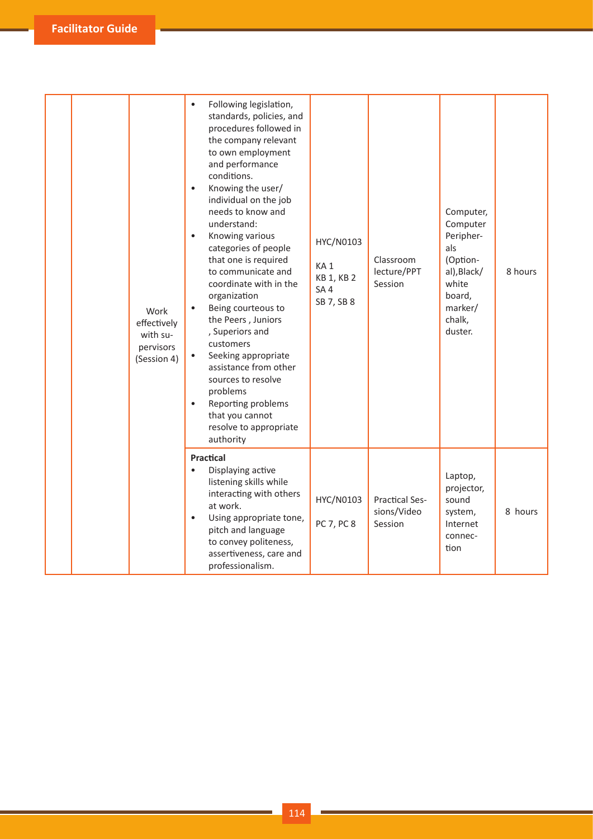| Work<br>effectively<br>with su-<br>pervisors<br>(Session 4) | Following legislation,<br>$\bullet$<br>standards, policies, and<br>procedures followed in<br>the company relevant<br>to own employment<br>and performance<br>conditions.<br>Knowing the user/<br>$\bullet$<br>individual on the job<br>needs to know and<br>understand:<br>Knowing various<br>$\bullet$<br>categories of people<br>that one is required<br>to communicate and<br>coordinate with in the<br>organization<br>Being courteous to<br>$\bullet$<br>the Peers, Juniors<br>, Superiors and<br>customers<br>Seeking appropriate<br>$\bullet$<br>assistance from other<br>sources to resolve<br>problems<br>Reporting problems<br>that you cannot<br>resolve to appropriate<br>authority | HYC/N0103<br>KA <sub>1</sub><br>KB 1, KB 2<br>SA <sub>4</sub><br>SB 7, SB 8 | Classroom<br>lecture/PPT<br>Session             | Computer,<br>Computer<br>Peripher-<br>als<br>(Option-<br>al), Black/<br>white<br>board,<br>marker/<br>chalk,<br>duster. | 8 hours |
|-------------------------------------------------------------|-------------------------------------------------------------------------------------------------------------------------------------------------------------------------------------------------------------------------------------------------------------------------------------------------------------------------------------------------------------------------------------------------------------------------------------------------------------------------------------------------------------------------------------------------------------------------------------------------------------------------------------------------------------------------------------------------|-----------------------------------------------------------------------------|-------------------------------------------------|-------------------------------------------------------------------------------------------------------------------------|---------|
|                                                             | <b>Practical</b><br>Displaying active<br>$\bullet$<br>listening skills while<br>interacting with others<br>at work.<br>Using appropriate tone,<br>pitch and language<br>to convey politeness,<br>assertiveness, care and<br>professionalism.                                                                                                                                                                                                                                                                                                                                                                                                                                                    | HYC/N0103<br>PC 7, PC 8                                                     | <b>Practical Ses-</b><br>sions/Video<br>Session | Laptop,<br>projector,<br>sound<br>system,<br>Internet<br>connec-<br>tion                                                | 8 hours |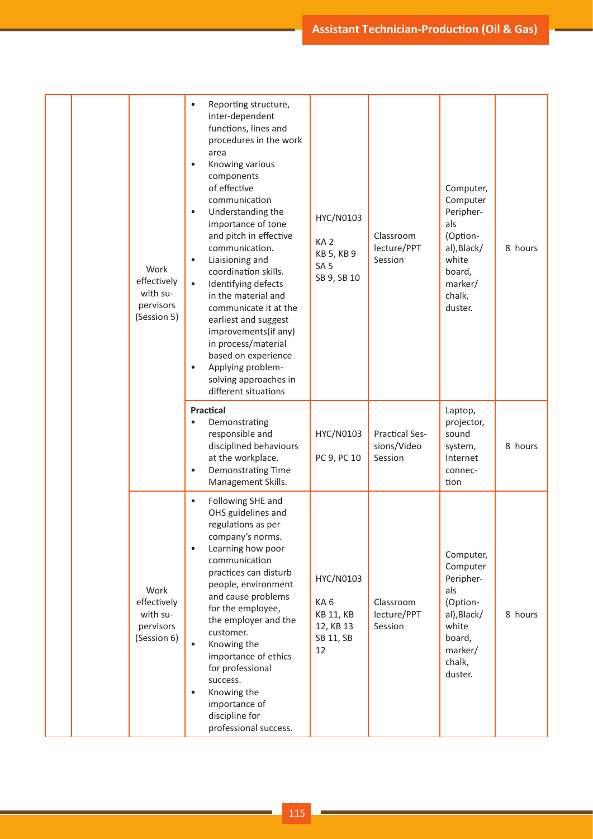|  | Work<br>effectively<br>with su-<br>pervisors<br>(Session 5) | Reporting structure,<br>$\bullet$<br>inter-dependent<br>functions, lines and<br>procedures in the work<br>area<br>Knowing various<br>$\bullet$<br>components<br>of effective<br>communication<br>Understanding the<br>$\bullet$<br>importance of tone<br>and pitch in effective<br>communication.<br>Liaisioning and<br>$\bullet$<br>coordination skills.<br>Identifying defects<br>$\bullet$<br>in the material and<br>communicate it at the<br>earliest and suggest<br>improvements(if any)<br>in process/material<br>based on experience<br>Applying problem-<br>solving approaches in<br>different situations | HYC/N0103<br>KA <sub>2</sub><br>KB 5, KB 9<br>SA <sub>5</sub><br>SB 9, SB 10 | Classroom<br>lecture/PPT<br>Session             | Computer,<br>Computer<br>Peripher-<br>als<br>(Option-<br>al), Black/<br>white<br>board,<br>marker/<br>chalk,<br>duster. | 8 hours |
|--|-------------------------------------------------------------|-------------------------------------------------------------------------------------------------------------------------------------------------------------------------------------------------------------------------------------------------------------------------------------------------------------------------------------------------------------------------------------------------------------------------------------------------------------------------------------------------------------------------------------------------------------------------------------------------------------------|------------------------------------------------------------------------------|-------------------------------------------------|-------------------------------------------------------------------------------------------------------------------------|---------|
|  |                                                             | <b>Practical</b><br>Demonstrating<br>$\bullet$<br>responsible and<br>disciplined behaviours<br>at the workplace.<br>Demonstrating Time<br>$\bullet$<br>Management Skills.                                                                                                                                                                                                                                                                                                                                                                                                                                         | HYC/N0103<br>PC 9, PC 10                                                     | <b>Practical Ses-</b><br>sions/Video<br>Session | Laptop,<br>projector,<br>sound<br>system,<br>Internet<br>connec-<br>tion                                                | 8 hours |
|  | Work<br>effectively<br>with su-<br>pervisors<br>(Session 6) | Following SHE and<br>$\bullet$<br>OHS guidelines and<br>regulations as per<br>company's norms.<br>Learning how poor<br>communication<br>practices can disturb<br>people, environment<br>and cause problems<br>for the employee,<br>the employer and the<br>customer.<br>$\bullet$<br>Knowing the<br>importance of ethics<br>for professional<br>success.<br>Knowing the<br>importance of<br>discipline for<br>professional success.                                                                                                                                                                               | HYC/N0103<br>KA6<br><b>KB 11, KB</b><br>12, KB 13<br>SB 11, SB<br>12         | Classroom<br>lecture/PPT<br>Session             | Computer,<br>Computer<br>Peripher-<br>als<br>(Option-<br>al), Black/<br>white<br>board,<br>marker/<br>chalk,<br>duster. | 8 hours |